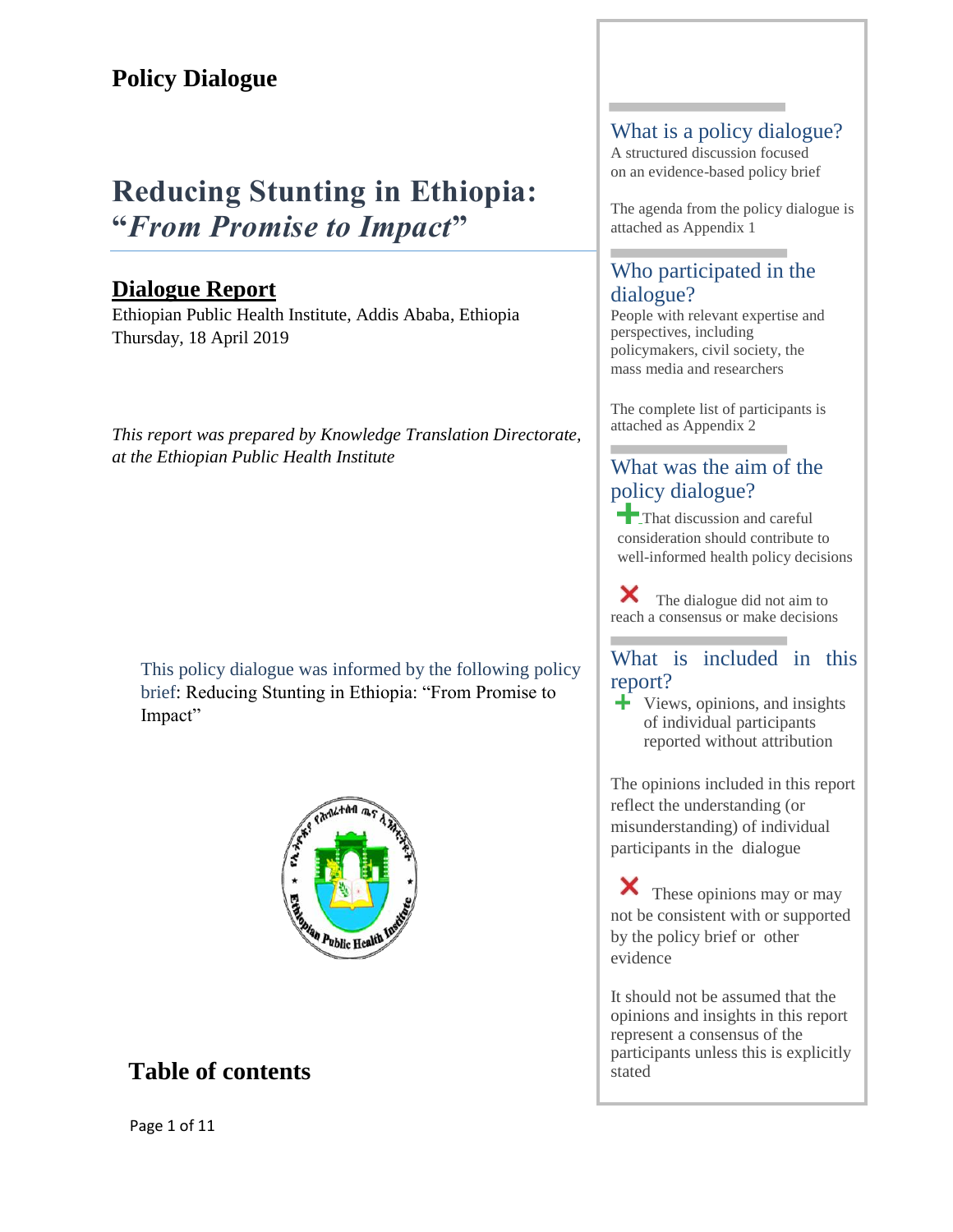# **Reducing Stunting in Ethiopia: "***From Promise to Impact***"**

# **Dialogue Report**

Ethiopian Public Health Institute, Addis Ababa, Ethiopia Thursday, 18 April 2019

*This report was prepared by Knowledge Translation Directorate, at the Ethiopian Public Health Institute* 

This policy dialogue was informed by the following policy brief: Reducing Stunting in Ethiopia: "From Promise to Impact"



# <span id="page-0-0"></span>**Table of contents**

### What is a policy dialogue?

A structured discussion focused on an evidence-based policy brief

The agenda from the policy dialogue is attached as Appendix 1

## Who participated in the dialogue?

People with relevant expertise and perspectives, including policymakers, civil society, the mass media and researchers

The complete list of participants is attached as Appendix 2

## What was the aim of the policy dialogue?

That discussion and careful consideration should contribute to well-informed health policy decisions

Х The dialogue did not aim to reach a consensus or make decisions

## What is included in this report?

 $\div$  Views, opinions, and insights of individual participants reported without attribution

The opinions included in this report reflect the understanding (or misunderstanding) of individual participants in the dialogue

Х These opinions may or may not be consistent with or supported by the policy brief or other evidence

It should not be assumed that the opinions and insights in this report represent a consensus of the participants unless this is explicitly stated

Page 1 of 11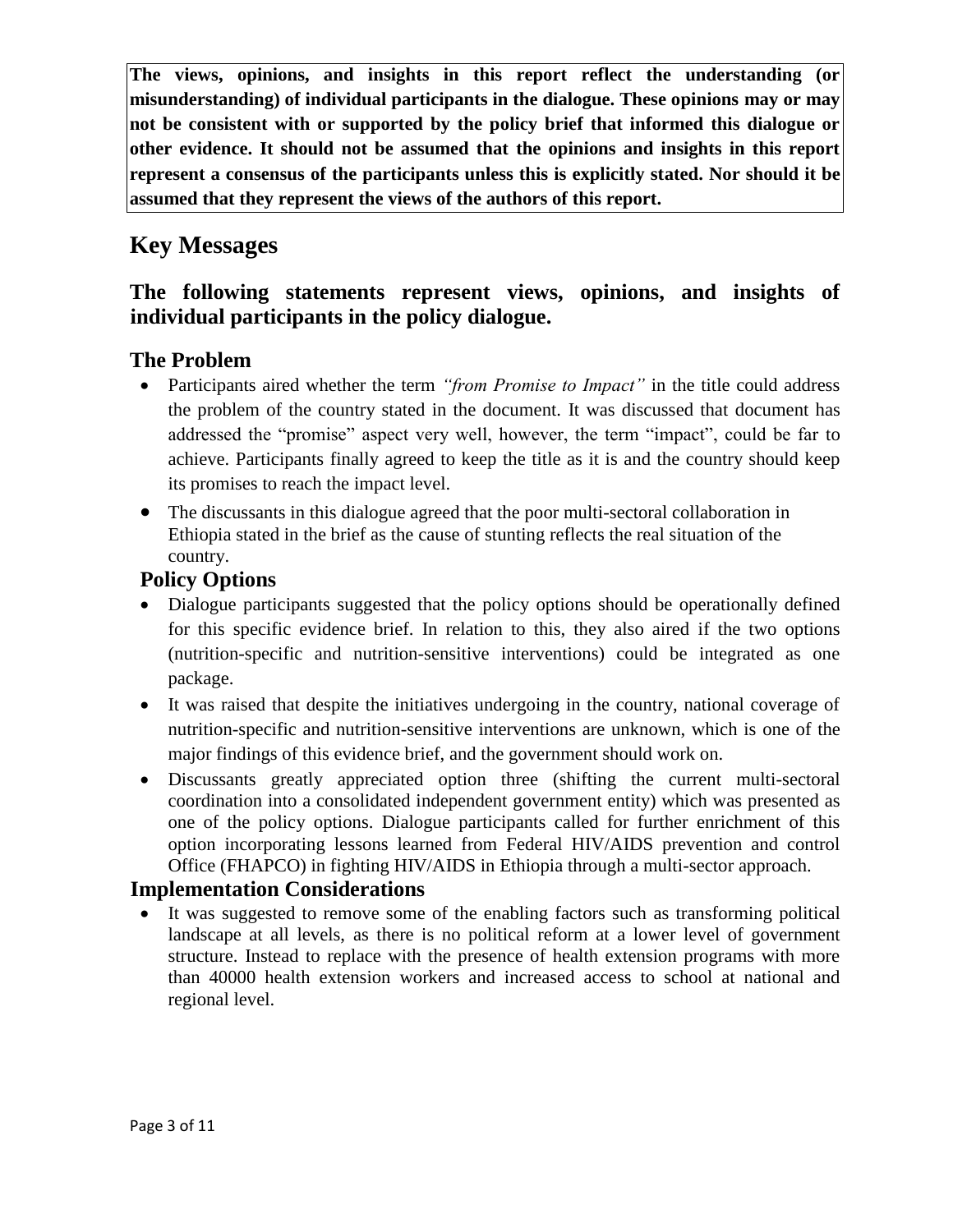**The views, opinions, and insights in this report reflect the understanding (or misunderstanding) of individual participants in the dialogue. These opinions may or may not be consistent with or supported by the policy brief that informed this dialogue or other evidence. It should not be assumed that the opinions and insights in this report represent a consensus of the participants unless this is explicitly stated. Nor should it be assumed that they represent the views of the authors of this report.**

# <span id="page-2-0"></span>**Key Messages**

## **The following statements represent views, opinions, and insights of individual participants in the policy dialogue.**

### **The Problem**

- Participants aired whether the term *"from Promise to Impact"* in the title could address the problem of the country stated in the document. It was discussed that document has addressed the "promise" aspect very well, however, the term "impact", could be far to achieve. Participants finally agreed to keep the title as it is and the country should keep its promises to reach the impact level.
- The discussants in this dialogue agreed that the poor multi-sectoral collaboration in Ethiopia stated in the brief as the cause of stunting reflects the real situation of the country.

### **Policy Options**

- Dialogue participants suggested that the policy options should be operationally defined for this specific evidence brief. In relation to this, they also aired if the two options (nutrition-specific and nutrition-sensitive interventions) could be integrated as one package.
- It was raised that despite the initiatives undergoing in the country, national coverage of nutrition-specific and nutrition-sensitive interventions are unknown, which is one of the major findings of this evidence brief, and the government should work on.
- Discussants greatly appreciated option three (shifting the current multi-sectoral coordination into a consolidated independent government entity) which was presented as one of the policy options. Dialogue participants called for further enrichment of this option incorporating lessons learned from Federal HIV/AIDS prevention and control Office (FHAPCO) in fighting HIV/AIDS in Ethiopia through a multi-sector approach.

### **Implementation Considerations**

 It was suggested to remove some of the enabling factors such as transforming political landscape at all levels, as there is no political reform at a lower level of government structure. Instead to replace with the presence of health extension programs with more than 40000 health extension workers and increased access to school at national and regional level.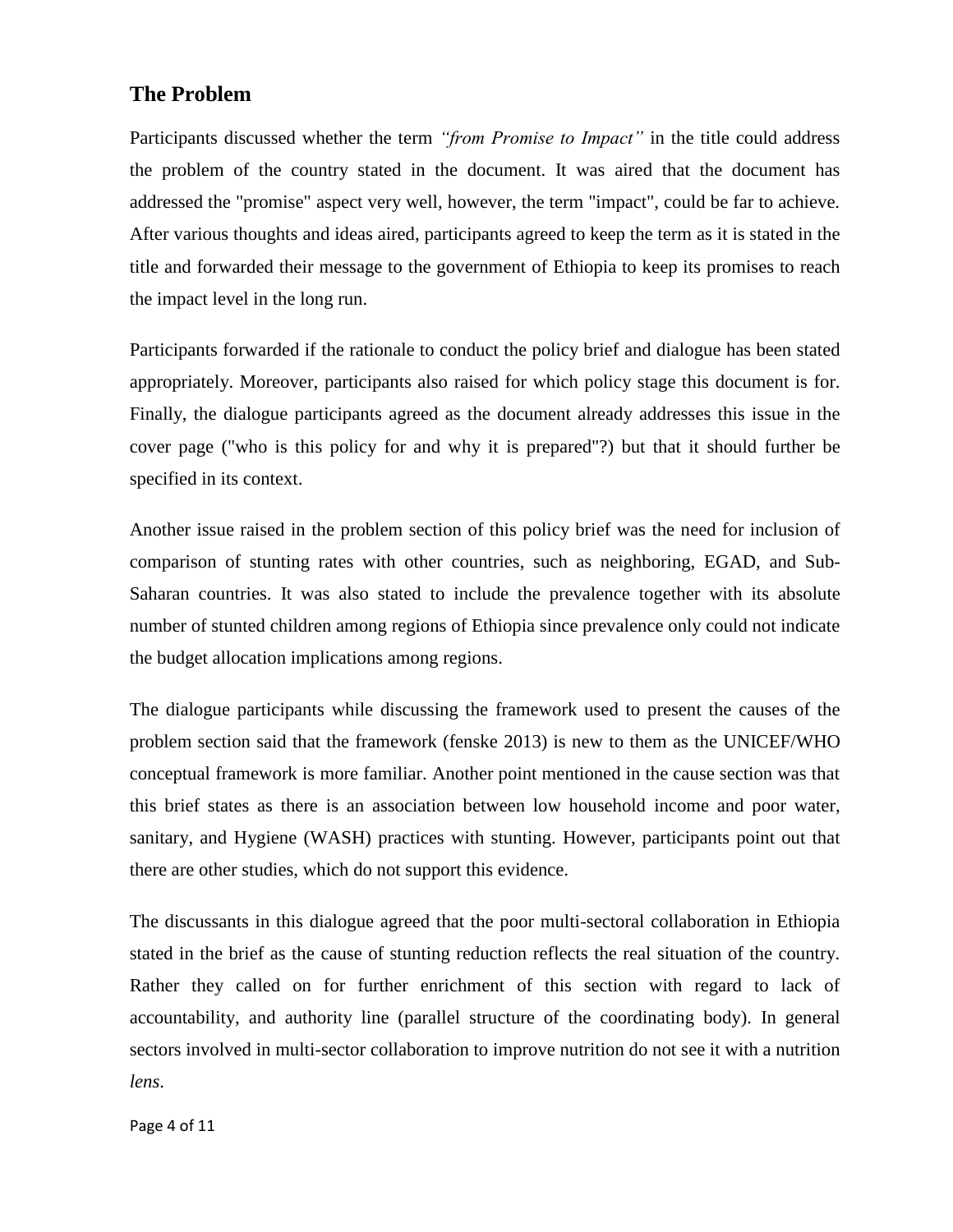### <span id="page-3-0"></span>**The Problem**

Participants discussed whether the term *"from Promise to Impact"* in the title could address the problem of the country stated in the document. It was aired that the document has addressed the "promise" aspect very well, however, the term "impact", could be far to achieve. After various thoughts and ideas aired, participants agreed to keep the term as it is stated in the title and forwarded their message to the government of Ethiopia to keep its promises to reach the impact level in the long run.

Participants forwarded if the rationale to conduct the policy brief and dialogue has been stated appropriately. Moreover, participants also raised for which policy stage this document is for. Finally, the dialogue participants agreed as the document already addresses this issue in the cover page ("who is this policy for and why it is prepared"?) but that it should further be specified in its context.

Another issue raised in the problem section of this policy brief was the need for inclusion of comparison of stunting rates with other countries, such as neighboring, EGAD, and Sub-Saharan countries. It was also stated to include the prevalence together with its absolute number of stunted children among regions of Ethiopia since prevalence only could not indicate the budget allocation implications among regions.

The dialogue participants while discussing the framework used to present the causes of the problem section said that the framework (fenske 2013) is new to them as the UNICEF/WHO conceptual framework is more familiar. Another point mentioned in the cause section was that this brief states as there is an association between low household income and poor water, sanitary, and Hygiene (WASH) practices with stunting. However, participants point out that there are other studies, which do not support this evidence.

The discussants in this dialogue agreed that the poor multi-sectoral collaboration in Ethiopia stated in the brief as the cause of stunting reduction reflects the real situation of the country. Rather they called on for further enrichment of this section with regard to lack of accountability, and authority line (parallel structure of the coordinating body). In general sectors involved in multi-sector collaboration to improve nutrition do not see it with a nutrition *lens*.

Page 4 of 11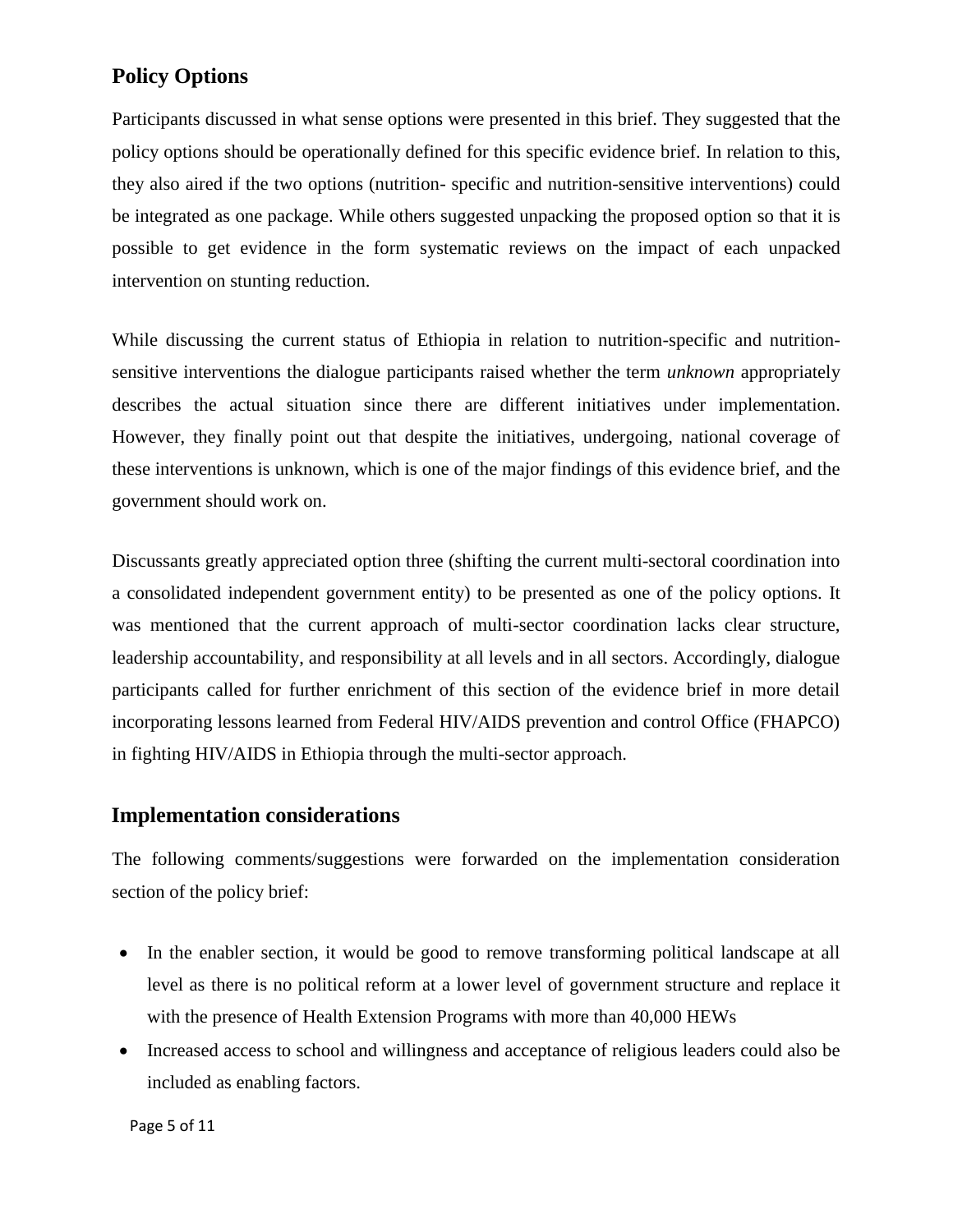## <span id="page-4-0"></span>**Policy Options**

Participants discussed in what sense options were presented in this brief. They suggested that the policy options should be operationally defined for this specific evidence brief. In relation to this, they also aired if the two options (nutrition- specific and nutrition-sensitive interventions) could be integrated as one package. While others suggested unpacking the proposed option so that it is possible to get evidence in the form systematic reviews on the impact of each unpacked intervention on stunting reduction.

While discussing the current status of Ethiopia in relation to nutrition-specific and nutritionsensitive interventions the dialogue participants raised whether the term *unknown* appropriately describes the actual situation since there are different initiatives under implementation. However, they finally point out that despite the initiatives, undergoing, national coverage of these interventions is unknown, which is one of the major findings of this evidence brief, and the government should work on.

Discussants greatly appreciated option three (shifting the current multi-sectoral coordination into a consolidated independent government entity) to be presented as one of the policy options. It was mentioned that the current approach of multi-sector coordination lacks clear structure, leadership accountability, and responsibility at all levels and in all sectors. Accordingly, dialogue participants called for further enrichment of this section of the evidence brief in more detail incorporating lessons learned from Federal HIV/AIDS prevention and control Office (FHAPCO) in fighting HIV/AIDS in Ethiopia through the multi-sector approach.

### <span id="page-4-1"></span>**Implementation considerations**

The following comments/suggestions were forwarded on the implementation consideration section of the policy brief:

- In the enabler section, it would be good to remove transforming political landscape at all level as there is no political reform at a lower level of government structure and replace it with the presence of Health Extension Programs with more than 40,000 HEWs
- Increased access to school and willingness and acceptance of religious leaders could also be included as enabling factors.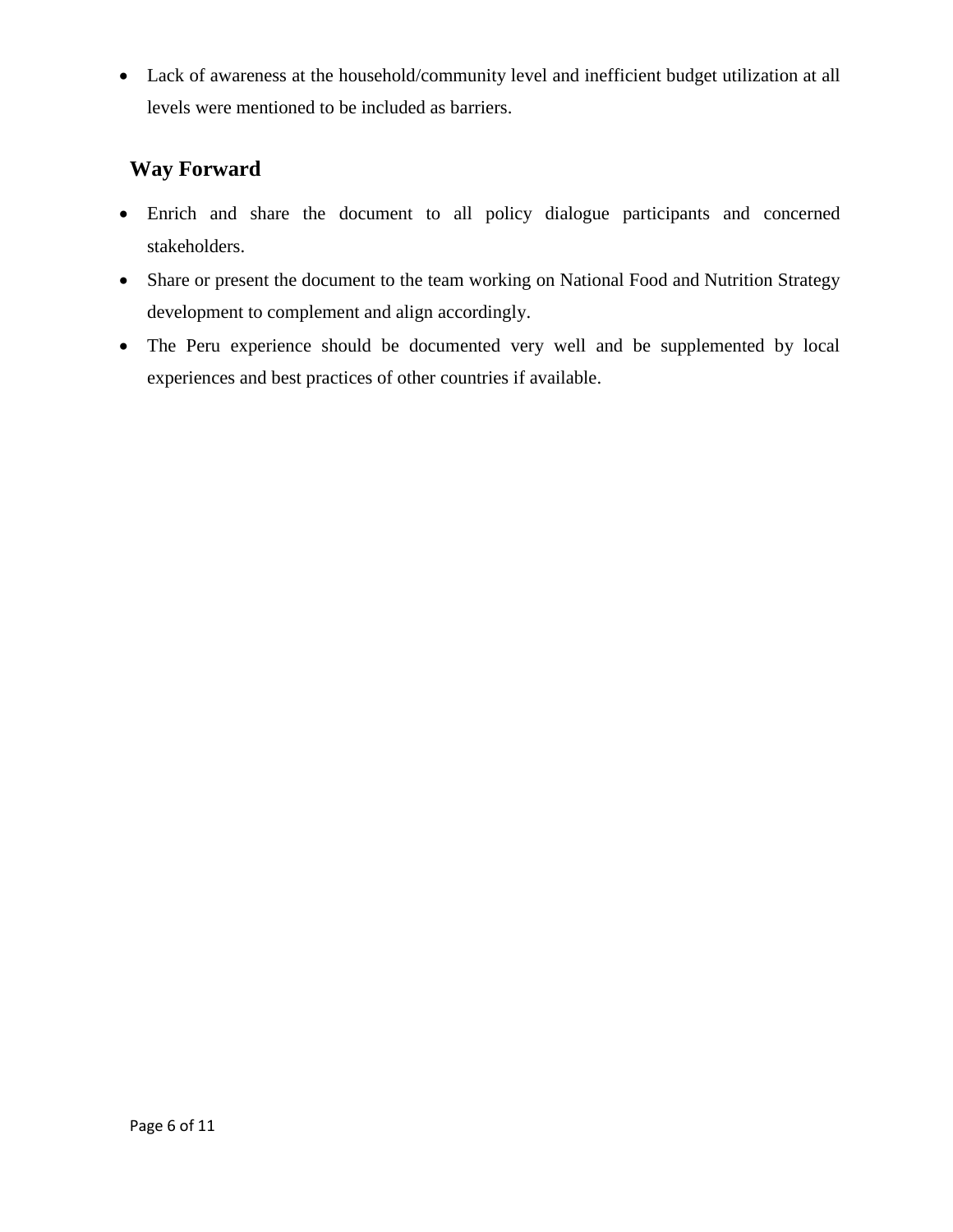Lack of awareness at the household/community level and inefficient budget utilization at all levels were mentioned to be included as barriers.

# <span id="page-5-0"></span>**Way Forward**

- Enrich and share the document to all policy dialogue participants and concerned stakeholders.
- Share or present the document to the team working on National Food and Nutrition Strategy development to complement and align accordingly.
- The Peru experience should be documented very well and be supplemented by local experiences and best practices of other countries if available.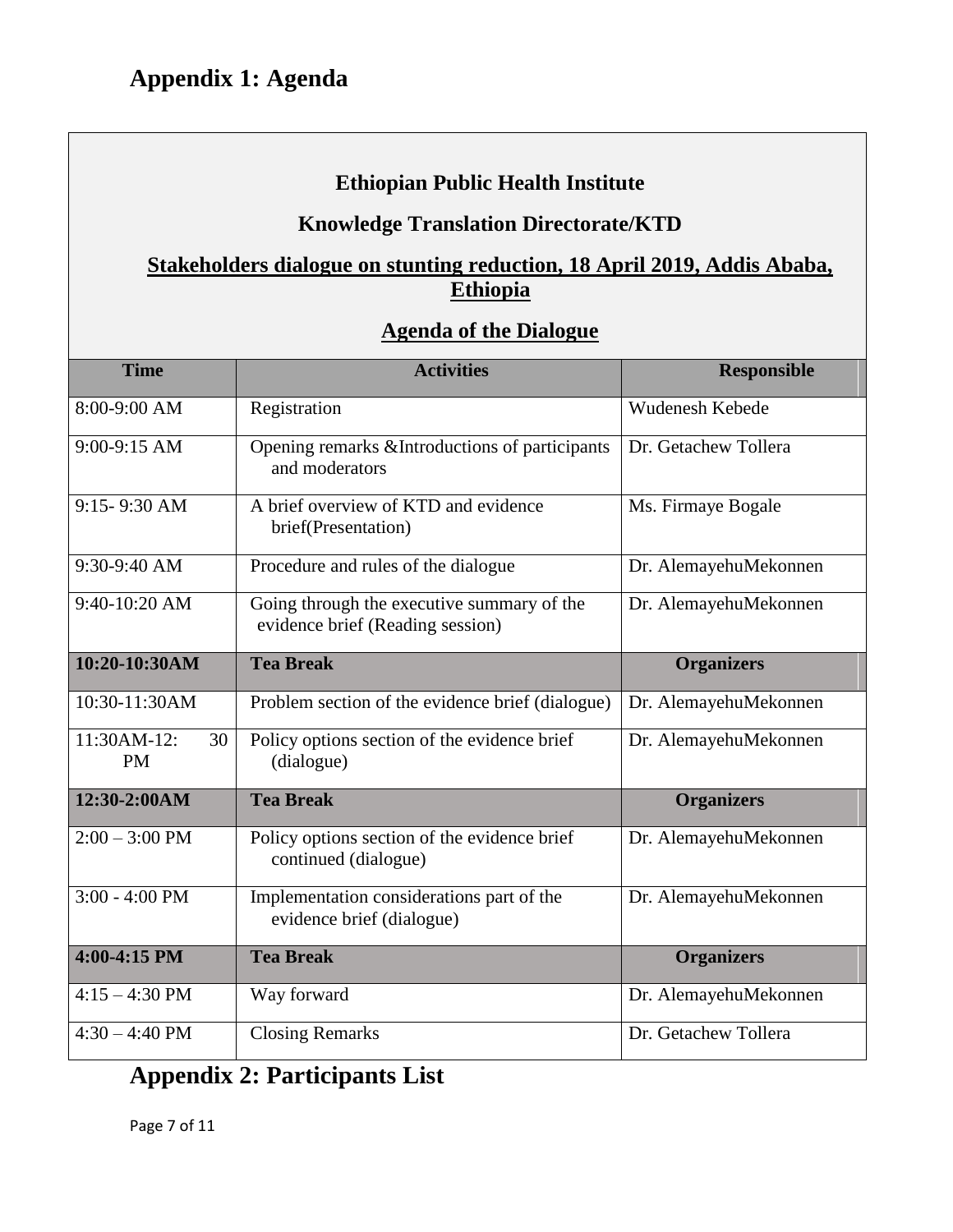# **Ethiopian Public Health Institute**

### **Knowledge Translation Directorate/KTD**

## <span id="page-6-0"></span>**Stakeholders dialogue on stunting reduction, 18 April 2019, Addis Ababa, Ethiopia**

### **Agenda of the Dialogue**

| <b>Time</b>                    | <b>Activities</b>                                                              | <b>Responsible</b>    |
|--------------------------------|--------------------------------------------------------------------------------|-----------------------|
| 8:00-9:00 AM                   | Registration                                                                   | Wudenesh Kebede       |
| 9:00-9:15 AM                   | Opening remarks & Introductions of participants<br>and moderators              | Dr. Getachew Tollera  |
| 9:15-9:30 AM                   | A brief overview of KTD and evidence<br>brief(Presentation)                    | Ms. Firmaye Bogale    |
| 9:30-9:40 AM                   | Procedure and rules of the dialogue                                            | Dr. AlemayehuMekonnen |
| 9:40-10:20 AM                  | Going through the executive summary of the<br>evidence brief (Reading session) | Dr. AlemayehuMekonnen |
| 10:20-10:30AM                  | <b>Tea Break</b>                                                               | <b>Organizers</b>     |
| 10:30-11:30AM                  | Problem section of the evidence brief (dialogue)                               | Dr. AlemayehuMekonnen |
| 11:30AM-12:<br>30<br><b>PM</b> | Policy options section of the evidence brief<br>(dialogue)                     | Dr. AlemayehuMekonnen |
| $12:30-2:00AM$                 | <b>Tea Break</b>                                                               | <b>Organizers</b>     |
| $2:00 - 3:00$ PM               | Policy options section of the evidence brief<br>continued (dialogue)           | Dr. AlemayehuMekonnen |
| $3:00 - 4:00$ PM               | Implementation considerations part of the<br>evidence brief (dialogue)         | Dr. AlemayehuMekonnen |
| 4:00-4:15 PM                   | <b>Tea Break</b>                                                               | <b>Organizers</b>     |
| $4:15 - 4:30$ PM               | Way forward                                                                    | Dr. AlemayehuMekonnen |
| $4:30 - 4:40$ PM               | <b>Closing Remarks</b>                                                         | Dr. Getachew Tollera  |

# <span id="page-6-1"></span>**Appendix 2: Participants List**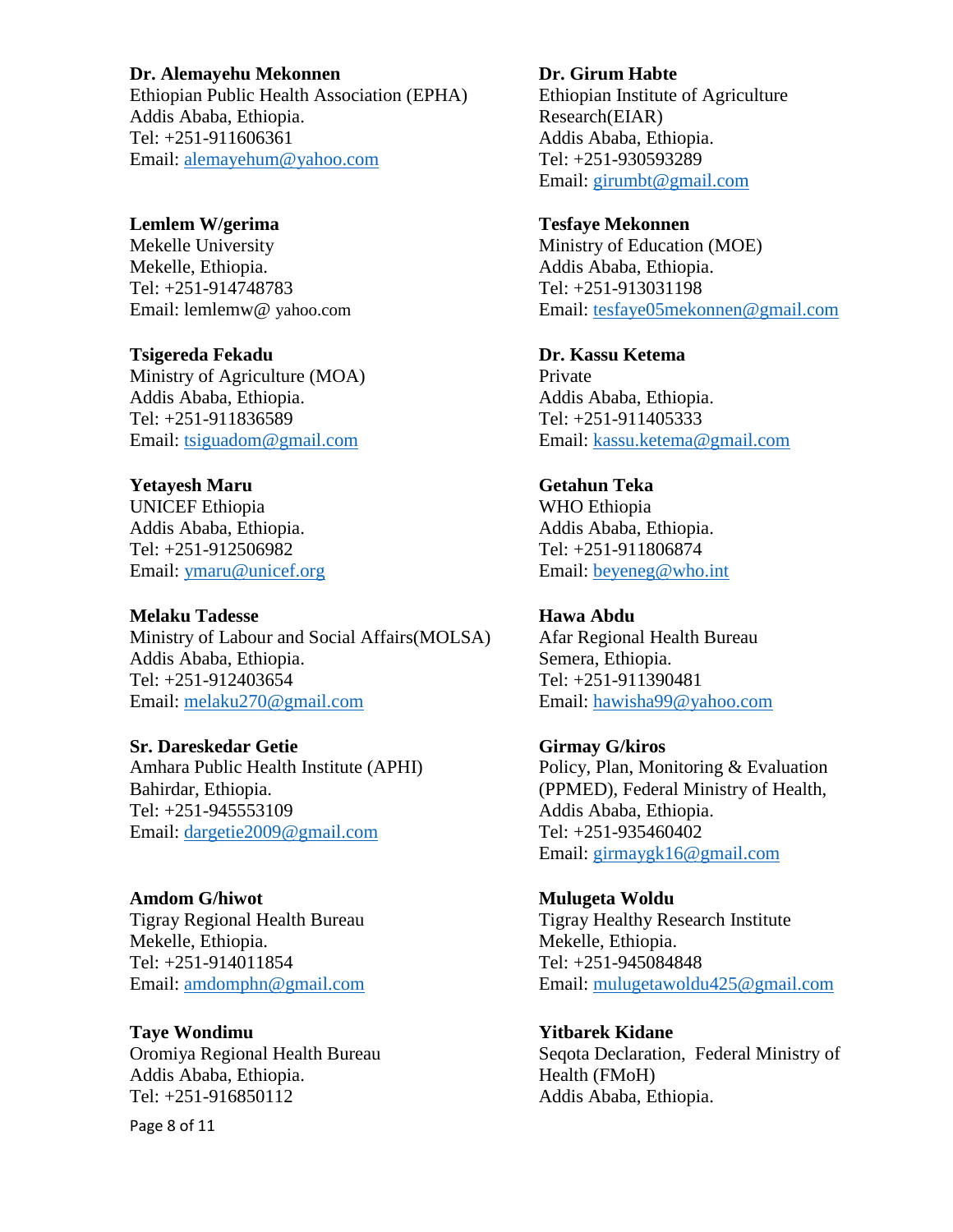#### **Dr. Alemayehu Mekonnen**

Ethiopian Public Health Association (EPHA) Addis Ababa, Ethiopia. Tel: +251-911606361 Email: [alemayehum@yahoo.com](mailto:alemayehum@yahoo.com)

**Lemlem W/gerima**  Mekelle University Mekelle, Ethiopia. Tel: +251-914748783 Email: lemlemw@ [yahoo.com](mailto:aminamuhj15@gmail.com)

**Tsigereda Fekadu** Ministry of Agriculture (MOA) Addis Ababa, Ethiopia. Tel: +251-911836589 Email: [tsiguadom@gmail.com](mailto:tsiguadom@gmail.com)

**Yetayesh Maru** UNICEF Ethiopia Addis Ababa, Ethiopia. Tel: +251-912506982 Email: [ymaru@unicef.org](mailto:ymaru@unicef.org)

#### **Melaku Tadesse** Ministry of Labour and Social Affairs(MOLSA) Addis Ababa, Ethiopia. Tel: +251-912403654

**Sr. Dareskedar Getie** Amhara Public Health Institute (APHI) Bahirdar, Ethiopia. Tel: +251-945553109 Email: [dargetie2009@gmail.com](mailto:dargetie2009@gmail.com)

Email: [melaku270@gmail.com](mailto:melaku270@gmail.com)

**Amdom G/hiwot** Tigray Regional Health Bureau Mekelle, Ethiopia. Tel: +251-914011854 Email: [amdomphn@gmail.com](mailto:amdomphn@gmail.com)

**Taye Wondimu**  Oromiya Regional Health Bureau Addis Ababa, Ethiopia. Tel: +251-916850112

Page 8 of 11

**Dr. Girum Habte** Ethiopian Institute of Agriculture Research(EIAR) Addis Ababa, Ethiopia. Tel: +251-930593289 Email: [girumbt@gmail.com](mailto:girumbt@gmail.com)

**Tesfaye Mekonnen** Ministry of Education (MOE) Addis Ababa, Ethiopia. Tel: +251-913031198 Email: [tesfaye05mekonnen@gmail.com](mailto:tesfaye05mekonnen@gmail.com)

**Dr. Kassu Ketema** Private Addis Ababa, Ethiopia. Tel: +251-911405333 Email: [kassu.ketema@gmail.com](mailto:kassu.ketema@gmail.com)

**Getahun Teka**  WHO Ethiopia Addis Ababa, Ethiopia. Tel: +251-911806874 Email: [beyeneg@who.int](mailto:beyeneg@who.int)

**Hawa Abdu** Afar Regional Health Bureau Semera, Ethiopia. Tel: +251-911390481 Email: [hawisha99@yahoo.com](mailto:hawisha99@yahoo.com)

**Girmay G/kiros** Policy, Plan, Monitoring & Evaluation (PPMED), Federal Ministry of Health, Addis Ababa, Ethiopia. Tel: +251-935460402 Email: [girmaygk16@gmail.com](mailto:girmaygk16@gmail.com)

**Mulugeta Woldu** Tigray Healthy Research Institute Mekelle, Ethiopia. Tel: +251-945084848 Email: [mulugetawoldu425@gmail.com](mailto:mulugetawoldu425@gmail.com)

**Yitbarek Kidane**  Seqota Declaration, Federal Ministry of Health (FMoH) Addis Ababa, Ethiopia.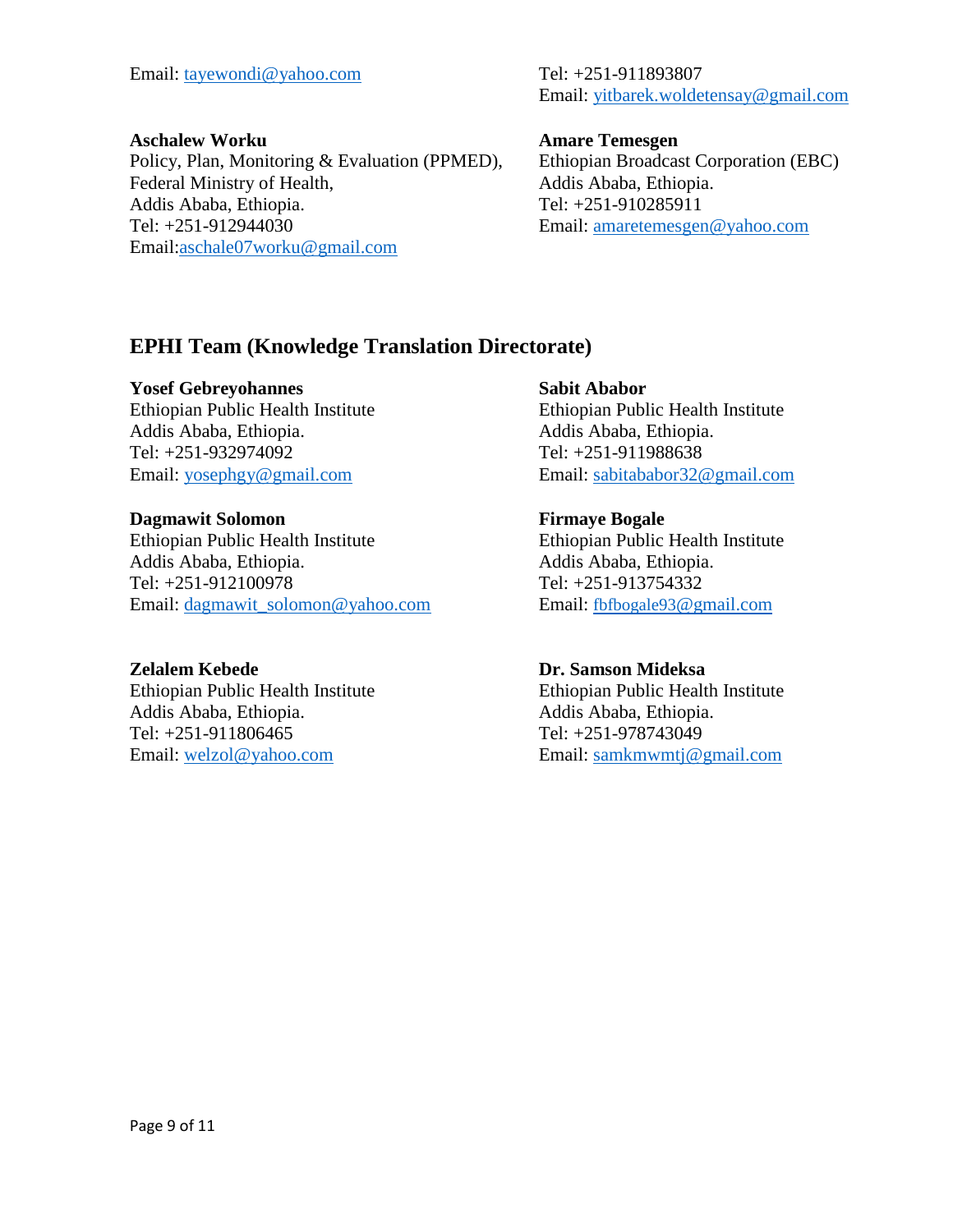Email: [tayewondi@yahoo.com](mailto:tayewondi@yahoo.com) Tel: +251-911893807

Email: [yitbarek.woldetensay@gmail.com](mailto:yitbarek.woldetensay@gmail.com)

#### **Aschalew Worku**

Policy, Plan, Monitoring & Evaluation (PPMED), Federal Ministry of Health, Addis Ababa, Ethiopia. Tel: +251-912944030 Email[:aschale07worku@gmail.com](mailto:aschale07worku@gmail.com)

#### **Amare Temesgen**

Ethiopian Broadcast Corporation (EBC) Addis Ababa, Ethiopia. Tel: +251-910285911 Email: [amaretemesgen@yahoo.com](mailto:amaretemesgen@yahoo.com)

## **EPHI Team (Knowledge Translation Directorate)**

#### **Yosef Gebreyohannes**

Ethiopian Public Health Institute Addis Ababa, Ethiopia. Tel: +251-932974092 Email: [yosephgy@gmail.com](mailto:yosephgy@gmail.com)

#### **Dagmawit Solomon**

Ethiopian Public Health Institute Addis Ababa, Ethiopia. Tel: +251-912100978 Email: [dagmawit\\_solomon@yahoo.com](mailto:dagmawit_solomon@yahoo.com)

#### **Zelalem Kebede**

Ethiopian Public Health Institute Addis Ababa, Ethiopia. Tel: +251-911806465 Email: [welzol@yahoo.com](mailto:welzol@yahoo.com)

#### **Sabit Ababor**

Ethiopian Public Health Institute Addis Ababa, Ethiopia. Tel: +251-911988638 Email: [sabitababor32@gmail.com](mailto:sabitababor32@gmail.com)

### **Firmaye Bogale**

Ethiopian Public Health Institute Addis Ababa, Ethiopia. Tel: +251-913754332 Email: fbfbogale93[@gmail.com](mailto:fbfbogale93@gmail.com)

#### **Dr. Samson Mideksa**

Ethiopian Public Health Institute Addis Ababa, Ethiopia. Tel: +251-978743049 Email: [samkmwmtj@gmail.com](mailto:samkmwmtj@gmail.com)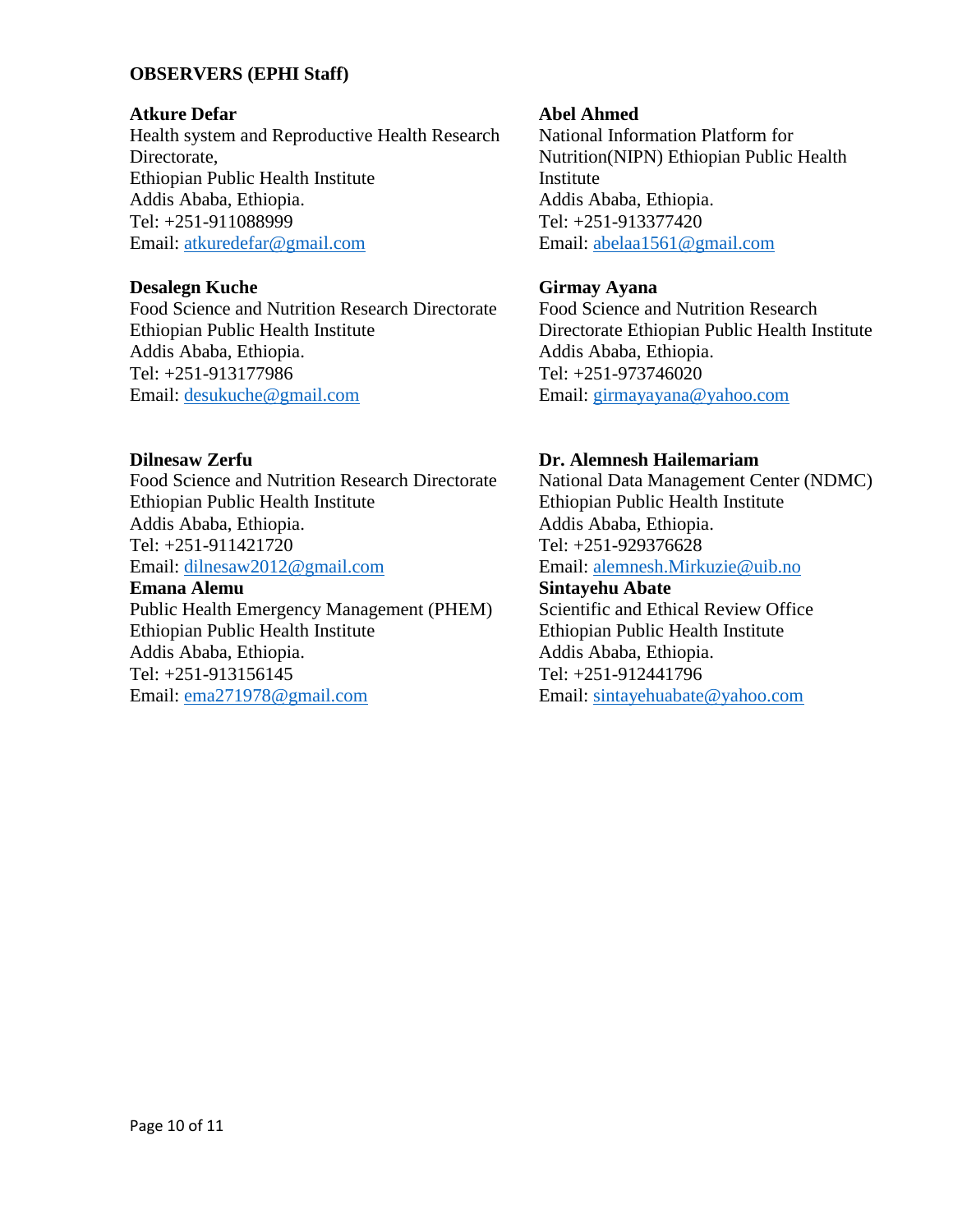#### **OBSERVERS (EPHI Staff)**

#### **Atkure Defar**

Health system and Reproductive Health Research Directorate, Ethiopian Public Health Institute Addis Ababa, Ethiopia. Tel: +251-911088999 Email: [atkuredefar@gmail.com](mailto:atkuredefar@gmail.com)

#### **Desalegn Kuche**

Food Science and Nutrition Research Directorate Ethiopian Public Health Institute Addis Ababa, Ethiopia. Tel: +251-913177986 Email: [desukuche@gmail.com](mailto:desukuche@gmail.com)

#### **Dilnesaw Zerfu**

Food Science and Nutrition Research Directorate Ethiopian Public Health Institute Addis Ababa, Ethiopia. Tel: +251-911421720 Email: [dilnesaw2012@gmail.com](mailto:dilnesaw2012@gmail.com)

#### **Emana Alemu**

Public Health Emergency Management (PHEM) Ethiopian Public Health Institute Addis Ababa, Ethiopia. Tel: +251-913156145 Email: [ema271978@gmail.com](mailto:ema271978@gmail.com)

#### **Abel Ahmed**

National Information Platform for Nutrition(NIPN) Ethiopian Public Health Institute Addis Ababa, Ethiopia. Tel: +251-913377420 Email: [abelaa1561@gmail.com](mailto:abelaa1561@gmail.com)

#### **Girmay Ayana**

Food Science and Nutrition Research Directorate Ethiopian Public Health Institute Addis Ababa, Ethiopia. Tel: +251-973746020 Email: [girmayayana@yahoo.com](mailto:girmayayana@yahoo.com)

#### **Dr. Alemnesh Hailemariam**

National Data Management Center (NDMC) Ethiopian Public Health Institute Addis Ababa, Ethiopia. Tel: +251-929376628 Email: [alemnesh.Mirkuzie@uib.no](mailto:alemnesh.Mirkuzie@uib.no)

### **Sintayehu Abate**

Scientific and Ethical Review Office Ethiopian Public Health Institute Addis Ababa, Ethiopia. Tel: +251-912441796 Email: [sintayehuabate@yahoo.com](mailto:sintayehuabate@yahoo.com)